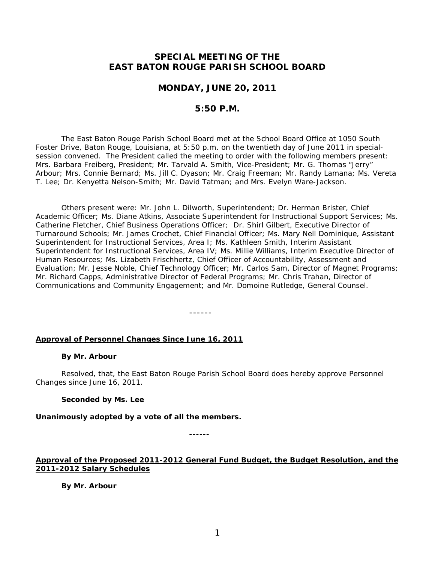# **SPECIAL MEETING OF THE EAST BATON ROUGE PARISH SCHOOL BOARD**

## **MONDAY, JUNE 20, 2011**

## **5:50 P.M.**

The East Baton Rouge Parish School Board met at the School Board Office at 1050 South Foster Drive, Baton Rouge, Louisiana, at 5:50 p.m. on the twentieth day of June 2011 in specialsession convened. The President called the meeting to order with the following members present: Mrs. Barbara Freiberg, President; Mr. Tarvald A. Smith, Vice-President; Mr. G. Thomas "Jerry" Arbour; Mrs. Connie Bernard; Ms. Jill C. Dyason; Mr. Craig Freeman; Mr. Randy Lamana; Ms. Vereta T. Lee; Dr. Kenyetta Nelson-Smith; Mr. David Tatman; and Mrs. Evelyn Ware-Jackson.

Others present were: Mr. John L. Dilworth, Superintendent; Dr. Herman Brister, Chief Academic Officer; Ms. Diane Atkins, Associate Superintendent for Instructional Support Services; Ms. Catherine Fletcher, Chief Business Operations Officer; Dr. Shirl Gilbert, Executive Director of Turnaround Schools; Mr. James Crochet, Chief Financial Officer; Ms. Mary Nell Dominique, Assistant Superintendent for Instructional Services, Area I; Ms. Kathleen Smith, Interim Assistant Superintendent for Instructional Services, Area IV; Ms. Millie Williams, Interim Executive Director of Human Resources; Ms. Lizabeth Frischhertz, Chief Officer of Accountability, Assessment and Evaluation; Mr. Jesse Noble, Chief Technology Officer; Mr. Carlos Sam, Director of Magnet Programs; Mr. Richard Capps, Administrative Director of Federal Programs; Mr. Chris Trahan, Director of Communications and Community Engagement; and Mr. Domoine Rutledge, General Counsel.

------

### **Approval of Personnel Changes Since June 16, 2011**

#### **By Mr. Arbour**

Resolved, that, the East Baton Rouge Parish School Board does hereby approve Personnel Changes since June 16, 2011.

#### **Seconded by Ms. Lee**

**Unanimously adopted by a vote of all the members.**

**------**

### **Approval of the Proposed 2011-2012 General Fund Budget, the Budget Resolution, and the 2011-2012 Salary Schedules**

**By Mr. Arbour**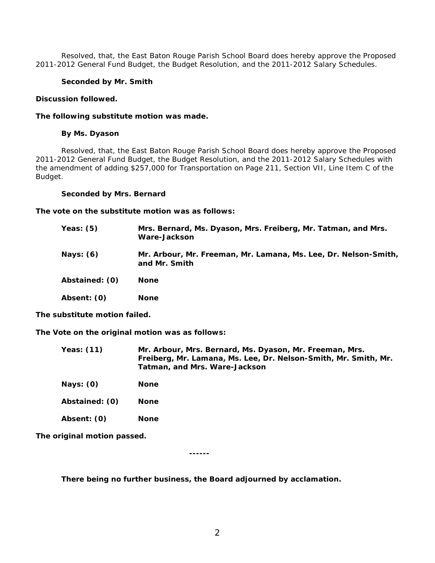Resolved, that, the East Baton Rouge Parish School Board does hereby approve the Proposed 2011-2012 General Fund Budget, the Budget Resolution, and the 2011-2012 Salary Schedules.

### **Seconded by Mr. Smith**

#### **Discussion followed.**

#### **The following substitute motion was made.**

### **By Ms. Dyason**

Resolved, that, the East Baton Rouge Parish School Board does hereby approve the Proposed 2011-2012 General Fund Budget, the Budget Resolution, and the 2011-2012 Salary Schedules with the amendment of adding \$257,000 for Transportation on Page 211, Section VII, Line Item C of the Budget.

#### **Seconded by Mrs. Bernard**

**The vote on the substitute motion was as follows:**

| Yeas: (5)      | Mrs. Bernard, Ms. Dyason, Mrs. Freiberg, Mr. Tatman, and Mrs.<br>Ware-Jackson    |
|----------------|----------------------------------------------------------------------------------|
| Nays: (6)      | Mr. Arbour, Mr. Freeman, Mr. Lamana, Ms. Lee, Dr. Nelson-Smith,<br>and Mr. Smith |
| Abstained: (0) | <b>None</b>                                                                      |
| Absent: (0)    | <b>None</b>                                                                      |
|                |                                                                                  |

**The substitute motion failed.**

**The Vote on the original motion was as follows:**

| Yeas: (11) | Mr. Arbour, Mrs. Bernard, Ms. Dyason, Mr. Freeman, Mrs.<br>Freiberg, Mr. Lamana, Ms. Lee, Dr. Nelson-Smith, Mr. Smith, Mr.<br>Tatman, and Mrs. Ware-Jackson |
|------------|-------------------------------------------------------------------------------------------------------------------------------------------------------------|
| Nays: (0)  | <b>None</b>                                                                                                                                                 |

**Abstained: (0) None**

**Absent: (0) None**

**The original motion passed.**

**------**

**There being no further business, the Board adjourned by acclamation.**